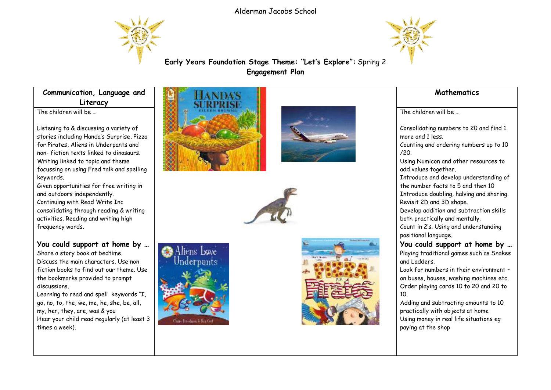Alderman Jacobs School





**Early Years Foundation Stage Theme: "Let's Explore":** Spring 2 **Engagement Plan**

**Communication, Language and Literacy**

The children will be

Listening to & discussing a variety of stories including Handa's Surprise, Pizza for Pirates, Aliens in Underpants and non- fiction texts linked to dinosaurs. Writing linked to topic and theme focussing on using Fred talk and spelling keywords.

Given opportunities for free writing in and outdoors independently.

Continuing with Read Write Inc consolidating through reading & writing activities. Reading and writing high frequency words.

**You could support at home by …** Share a story book at bedtime. Discuss the main characters. Use non fiction books to find out our theme. Use the bookmarks provided to prompt discussions.

Learning to read and spell keywords "I, go, no, to, the, we, me, he, she, be, all, my, her, they, are, was & you Hear your child read regularly (at least 3 times a week).











## **Mathematics**

The children will be …

Consolidating numbers to 20 and find 1 more and 1 less. Counting and ordering numbers up to 10 /20. Using Numicon and other resources to add values together. Introduce and develop understanding of the number facts to 5 and then 10 Introduce doubling, halving and sharing. Revisit 2D and 3D shape. Develop addition and subtraction skills both practically and mentally. Count in 2's. Using and understanding positional language. **You could support at home by …** Playing traditional games such as Snakes and Ladders. Look for numbers in their environment – on buses, houses, washing machines etc. Order playing cards 10 to 20 and 20 to 10.

Adding and subtracting amounts to 10 practically with objects at home Using money in real life situations eg paying at the shop